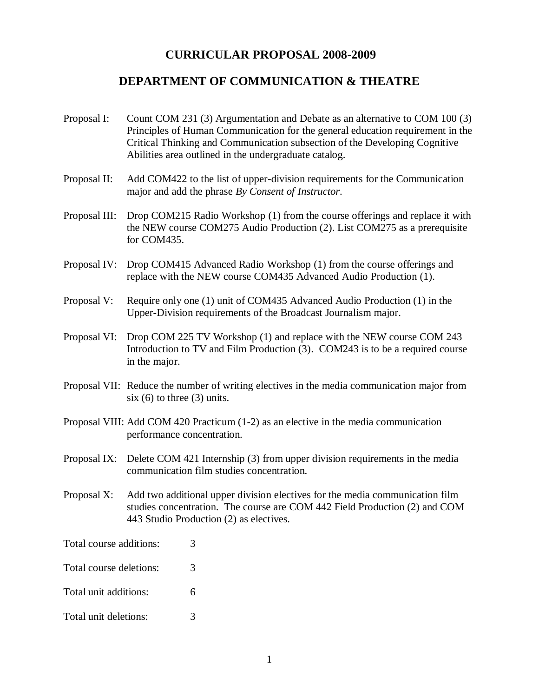## **CURRICULAR PROPOSAL 2008-2009**

## **DEPARTMENT OF COMMUNICATION & THEATRE**

- Proposal I: Count COM 231 (3) Argumentation and Debate as an alternative to COM 100 (3) Principles of Human Communication for the general education requirement in the Critical Thinking and Communication subsection of the Developing Cognitive Abilities area outlined in the undergraduate catalog.
- Proposal II: Add COM422 to the list of upper-division requirements for the Communication major and add the phrase *By Consent of Instructor*.
- Proposal III: Drop COM215 Radio Workshop (1) from the course offerings and replace it with the NEW course COM275 Audio Production (2). List COM275 as a prerequisite for COM435.
- Proposal IV: Drop COM415 Advanced Radio Workshop (1) from the course offerings and replace with the NEW course COM435 Advanced Audio Production (1).
- Proposal V: Require only one (1) unit of COM435 Advanced Audio Production (1) in the Upper-Division requirements of the Broadcast Journalism major.
- Proposal VI: Drop COM 225 TV Workshop (1) and replace with the NEW course COM 243 Introduction to TV and Film Production (3). COM243 is to be a required course in the major.
- Proposal VII: Reduce the number of writing electives in the media communication major from six  $(6)$  to three  $(3)$  units.
- Proposal VIII: Add COM 420 Practicum (1-2) as an elective in the media communication performance concentration.
- Proposal IX: Delete COM 421 Internship (3) from upper division requirements in the media communication film studies concentration.
- Proposal X: Add two additional upper division electives for the media communication film studies concentration. The course are COM 442 Field Production (2) and COM 443 Studio Production (2) as electives.

Total course additions: 3

- Total course deletions: 3
- Total unit additions: 6
- Total unit deletions: 3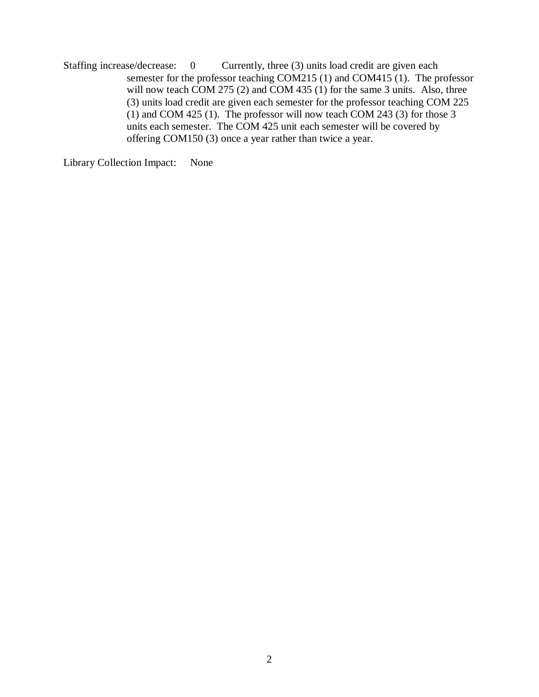Staffing increase/decrease: 0 Currently, three (3) units load credit are given each semester for the professor teaching COM215 (1) and COM415 (1). The professor will now teach COM 275 (2) and COM 435 (1) for the same 3 units. Also, three (3) units load credit are given each semester for the professor teaching COM 225 (1) and COM 425 (1). The professor will now teach COM 243 (3) for those 3 units each semester. The COM 425 unit each semester will be covered by offering COM150 (3) once a year rather than twice a year.

Library Collection Impact: None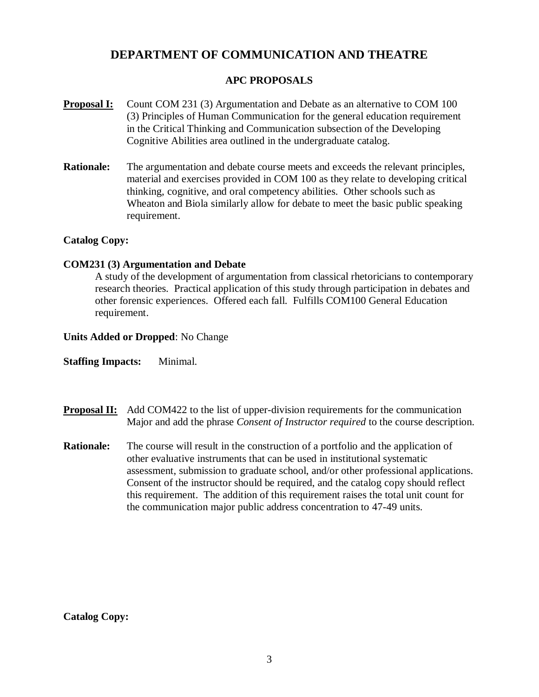# **DEPARTMENT OF COMMUNICATION AND THEATRE**

## **APC PROPOSALS**

- **Proposal I:** Count COM 231 (3) Argumentation and Debate as an alternative to COM 100 (3) Principles of Human Communication for the general education requirement in the Critical Thinking and Communication subsection of the Developing Cognitive Abilities area outlined in the undergraduate catalog.
- **Rationale:** The argumentation and debate course meets and exceeds the relevant principles, material and exercises provided in COM 100 as they relate to developing critical thinking, cognitive, and oral competency abilities. Other schools such as Wheaton and Biola similarly allow for debate to meet the basic public speaking requirement.

## **Catalog Copy:**

### **COM231 (3) Argumentation and Debate**

A study of the development of argumentation from classical rhetoricians to contemporary research theories. Practical application of this study through participation in debates and other forensic experiences. Offered each fall. Fulfills COM100 General Education requirement.

#### **Units Added or Dropped**: No Change

**Staffing Impacts:** Minimal.

- **Proposal II:** Add COM422 to the list of upper-division requirements for the communication Major and add the phrase *Consent of Instructor required* to the course description.
- **Rationale:** The course will result in the construction of a portfolio and the application of other evaluative instruments that can be used in institutional systematic assessment, submission to graduate school, and/or other professional applications. Consent of the instructor should be required, and the catalog copy should reflect this requirement. The addition of this requirement raises the total unit count for the communication major public address concentration to 47-49 units.

### **Catalog Copy:**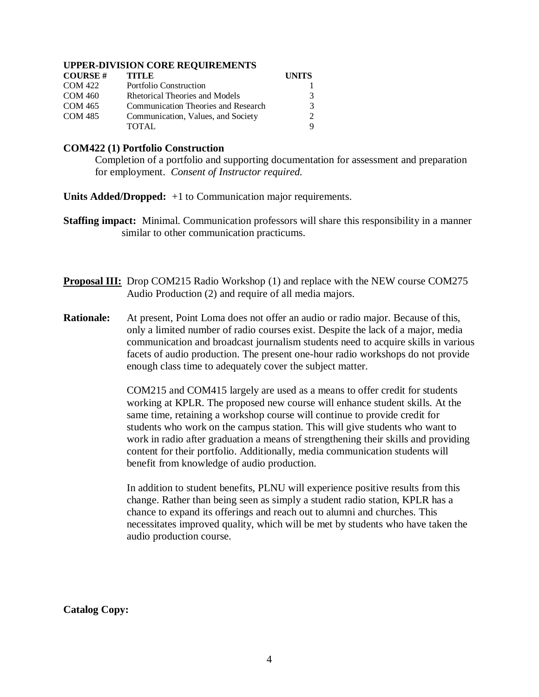#### **UPPER-DIVISION CORE REQUIREMENTS**

| <b>COURSE#</b> | <b>TITLE</b>                        | <b>UNITS</b>  |
|----------------|-------------------------------------|---------------|
| <b>COM 422</b> | Portfolio Construction              |               |
| COM 460        | Rhetorical Theories and Models      | 3             |
| COM 465        | Communication Theories and Research | $\mathcal{R}$ |
| <b>COM 485</b> | Communication, Values, and Society  |               |
|                | TOTAL.                              |               |

#### **COM422 (1) Portfolio Construction**

Completion of a portfolio and supporting documentation for assessment and preparation for employment. *Consent of Instructor required.*

**Units Added/Dropped:** +1 to Communication major requirements.

- **Staffing impact:** Minimal. Communication professors will share this responsibility in a manner similar to other communication practicums.
- **Proposal III:** Drop COM215 Radio Workshop (1) and replace with the NEW course COM275 Audio Production (2) and require of all media majors.
- **Rationale:** At present, Point Loma does not offer an audio or radio major. Because of this, only a limited number of radio courses exist. Despite the lack of a major, media communication and broadcast journalism students need to acquire skills in various facets of audio production. The present one-hour radio workshops do not provide enough class time to adequately cover the subject matter.

COM215 and COM415 largely are used as a means to offer credit for students working at KPLR. The proposed new course will enhance student skills. At the same time, retaining a workshop course will continue to provide credit for students who work on the campus station. This will give students who want to work in radio after graduation a means of strengthening their skills and providing content for their portfolio. Additionally, media communication students will benefit from knowledge of audio production.

In addition to student benefits, PLNU will experience positive results from this change. Rather than being seen as simply a student radio station, KPLR has a chance to expand its offerings and reach out to alumni and churches. This necessitates improved quality, which will be met by students who have taken the audio production course.

**Catalog Copy:**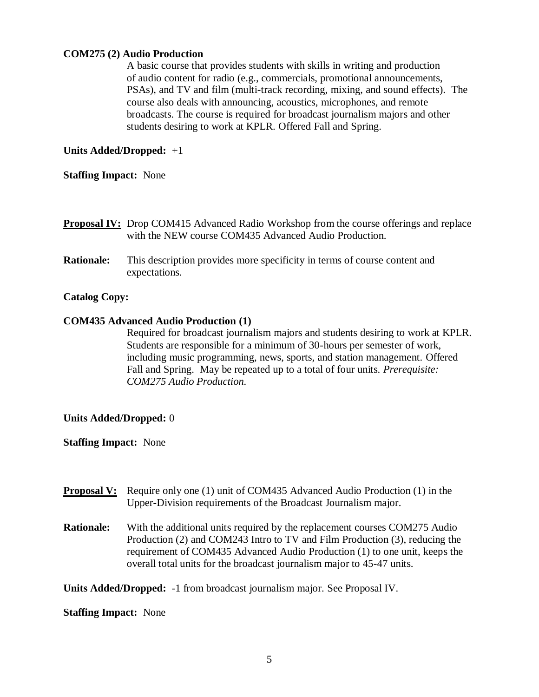## **COM275 (2) Audio Production**

A basic course that provides students with skills in writing and production of audio content for radio (e.g., commercials, promotional announcements, PSAs), and TV and film (multi-track recording, mixing, and sound effects). The course also deals with announcing, acoustics, microphones, and remote broadcasts. The course is required for broadcast journalism majors and other students desiring to work at KPLR. Offered Fall and Spring.

## **Units Added/Dropped:** +1

#### **Staffing Impact:** None

- **Proposal IV:** Drop COM415 Advanced Radio Workshop from the course offerings and replace with the NEW course COM435 Advanced Audio Production.
- **Rationale:** This description provides more specificity in terms of course content and expectations.

### **Catalog Copy:**

#### **COM435 Advanced Audio Production (1)**

Required for broadcast journalism majors and students desiring to work at KPLR. Students are responsible for a minimum of 30-hours per semester of work, including music programming, news, sports, and station management. Offered Fall and Spring. May be repeated up to a total of four units. *Prerequisite: COM275 Audio Production.*

### **Units Added/Dropped:** 0

#### **Staffing Impact:** None

- **Proposal V:** Require only one (1) unit of COM435 Advanced Audio Production (1) in the Upper-Division requirements of the Broadcast Journalism major.
- **Rationale:** With the additional units required by the replacement courses COM275 Audio Production (2) and COM243 Intro to TV and Film Production (3), reducing the requirement of COM435 Advanced Audio Production (1) to one unit, keeps the overall total units for the broadcast journalism major to 45-47 units.

**Units Added/Dropped:** -1 from broadcast journalism major. See Proposal IV.

**Staffing Impact:** None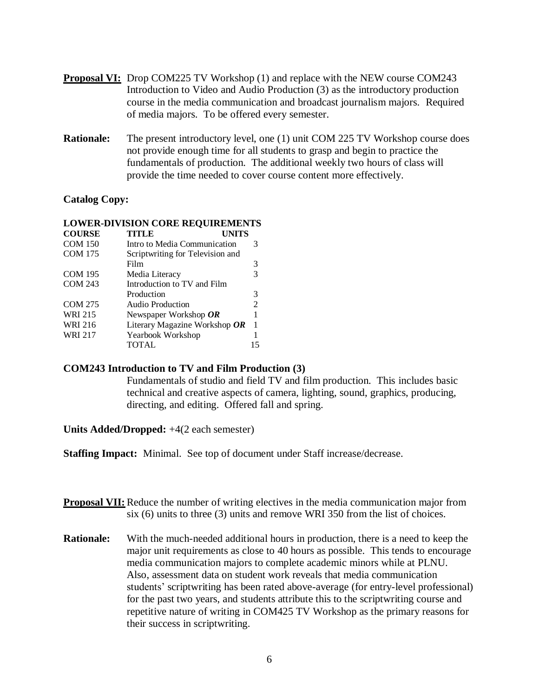- **Proposal VI:** Drop COM225 TV Workshop (1) and replace with the NEW course COM243 Introduction to Video and Audio Production (3) as the introductory production course in the media communication and broadcast journalism majors. Required of media majors. To be offered every semester.
- **Rationale:** The present introductory level, one (1) unit COM 225 TV Workshop course does not provide enough time for all students to grasp and begin to practice the fundamentals of production. The additional weekly two hours of class will provide the time needed to cover course content more effectively.

#### **Catalog Copy:**

| LOWER-DIVISION CORE REQUIREMENTS |                                  |   |  |  |
|----------------------------------|----------------------------------|---|--|--|
| <b>COURSE</b>                    | <b>TITLE</b><br><b>UNITS</b>     |   |  |  |
| <b>COM 150</b>                   | Intro to Media Communication     | 3 |  |  |
| <b>COM 175</b>                   | Scriptwriting for Television and |   |  |  |
|                                  | Film                             | 3 |  |  |
| <b>COM 195</b>                   | Media Literacy                   | 3 |  |  |
| <b>COM 243</b>                   | Introduction to TV and Film      |   |  |  |
|                                  | Production                       | 3 |  |  |
| <b>COM 275</b>                   | Audio Production                 | 2 |  |  |
| <b>WRI 215</b>                   | Newspaper Workshop $OR$          |   |  |  |
| <b>WRI 216</b>                   | Literary Magazine Workshop OR    | 1 |  |  |
| <b>WRI 217</b>                   | Yearbook Workshop                |   |  |  |
|                                  | TOTAL                            |   |  |  |
|                                  |                                  |   |  |  |

### **LOWER-DIVISION CORE REQUIREMENTS**

#### **COM243 Introduction to TV and Film Production (3)**

Fundamentals of studio and field TV and film production. This includes basic technical and creative aspects of camera, lighting, sound, graphics, producing, directing, and editing. Offered fall and spring.

**Units Added/Dropped:** +4(2 each semester)

**Staffing Impact:** Minimal. See top of document under Staff increase/decrease.

**Proposal VII:** Reduce the number of writing electives in the media communication major from six (6) units to three (3) units and remove WRI 350 from the list of choices.

**Rationale:** With the much-needed additional hours in production, there is a need to keep the major unit requirements as close to 40 hours as possible. This tends to encourage media communication majors to complete academic minors while at PLNU. Also, assessment data on student work reveals that media communication students' scriptwriting has been rated above-average (for entry-level professional) for the past two years, and students attribute this to the scriptwriting course and repetitive nature of writing in COM425 TV Workshop as the primary reasons for their success in scriptwriting.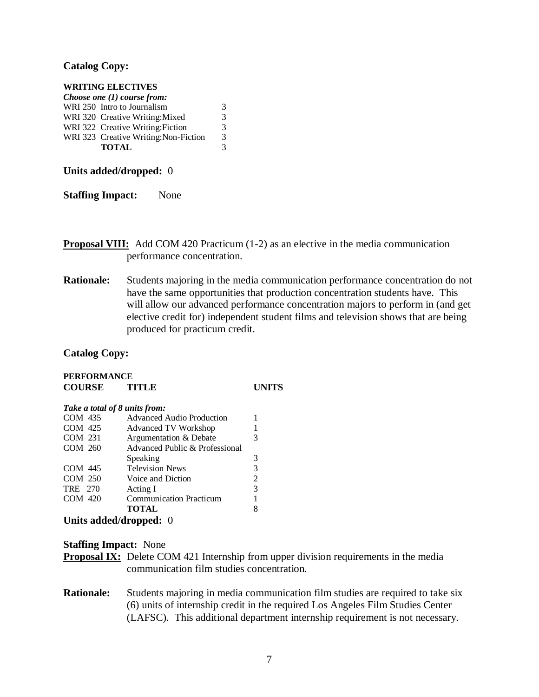#### **Catalog Copy:**

#### **WRITING ELECTIVES**

| Choose one $(1)$ course from: |                                       |   |  |  |
|-------------------------------|---------------------------------------|---|--|--|
|                               | WRI 250 Intro to Journalism           | 3 |  |  |
|                               | WRI 320 Creative Writing: Mixed       | 3 |  |  |
|                               | WRI 322 Creative Writing: Fiction     | 3 |  |  |
|                               | WRI 323 Creative Writing: Non-Fiction | 3 |  |  |
|                               | <b>TOTAL</b>                          | 3 |  |  |

**Units added/dropped:** 0

**Staffing Impact:** None

**Proposal VIII:** Add COM 420 Practicum (1-2) as an elective in the media communication performance concentration.

**Rationale:** Students majoring in the media communication performance concentration do not have the same opportunities that production concentration students have. This will allow our advanced performance concentration majors to perform in (and get elective credit for) independent student films and television shows that are being produced for practicum credit.

**Catalog Copy:**

## **PERFORMANCE COURSE TITLE UNITS**

#### *Take a total of 8 units from:* COM 435 Advanced Audio Production 1<br>
COM 425 Advanced TV Workshop 1 Advanced TV Workshop 1 COM 231 Argumentation & Debate 3 COM 260 Advanced Public & Professional Speaking 3 COM 445 Television News 3 COM 250 Voice and Diction 2 TRE 270 Acting I 3 COM 420 Communication Practicum 1 **TOTAL** 8

**Units added/dropped:** 0

## **Staffing Impact:** None

- **Proposal IX:** Delete COM 421 Internship from upper division requirements in the media communication film studies concentration.
- **Rationale:** Students majoring in media communication film studies are required to take six (6) units of internship credit in the required Los Angeles Film Studies Center (LAFSC). This additional department internship requirement is not necessary.